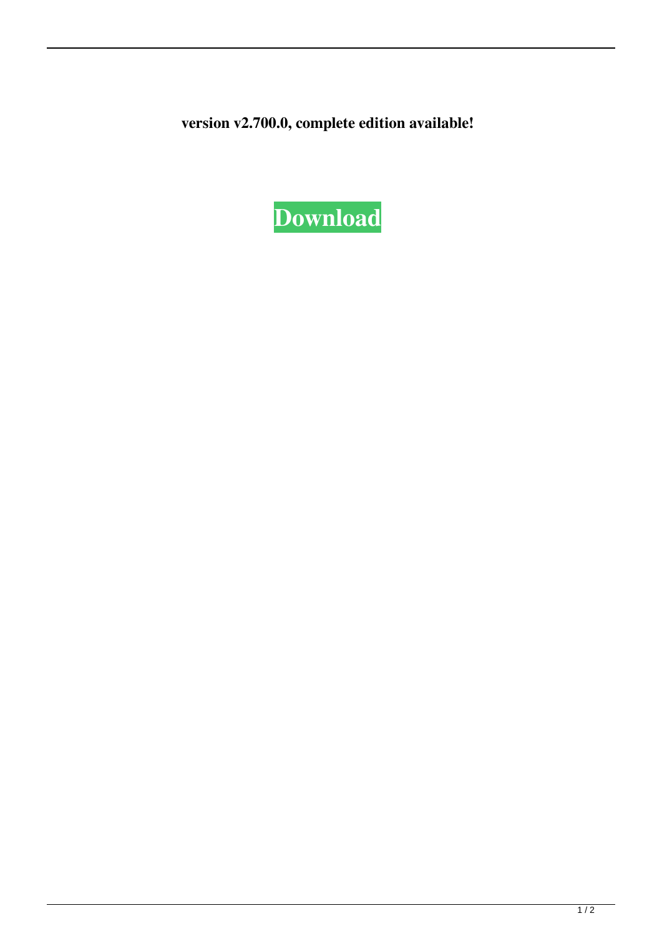**version v2.700.0, complete edition available!**